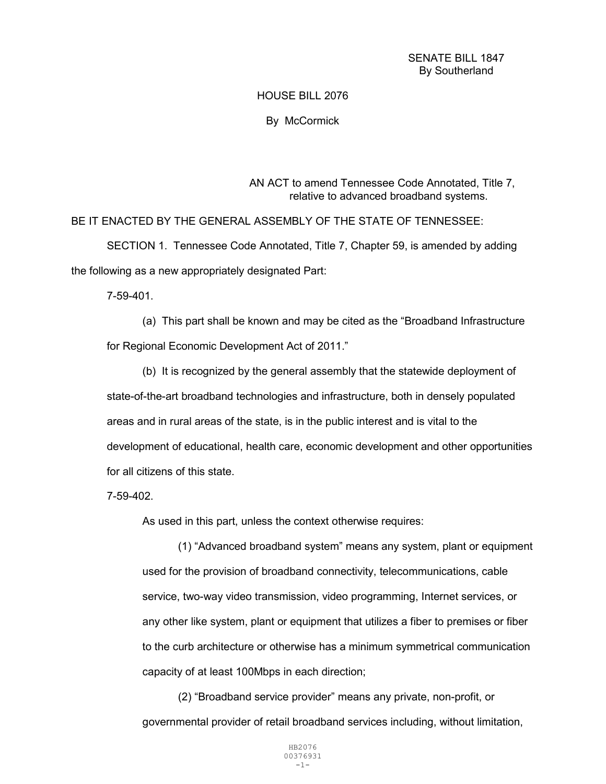HOUSE BILL 2076

By McCormick

AN ACT to amend Tennessee Code Annotated, Title 7, relative to advanced broadband systems.

BE IT ENACTED BY THE GENERAL ASSEMBLY OF THE STATE OF TENNESSEE:

SECTION 1. Tennessee Code Annotated, Title 7, Chapter 59, is amended by adding the following as a new appropriately designated Part:

7-59-401.

(a) This part shall be known and may be cited as the "Broadband Infrastructure for Regional Economic Development Act of 2011."

(b) It is recognized by the general assembly that the statewide deployment of state-of-the-art broadband technologies and infrastructure, both in densely populated areas and in rural areas of the state, is in the public interest and is vital to the development of educational, health care, economic development and other opportunities for all citizens of this state.

7-59-402.

As used in this part, unless the context otherwise requires:

(1) "Advanced broadband system" means any system, plant or equipment used for the provision of broadband connectivity, telecommunications, cable service, two-way video transmission, video programming, Internet services, or any other like system, plant or equipment that utilizes a fiber to premises or fiber to the curb architecture or otherwise has a minimum symmetrical communication capacity of at least 100Mbps in each direction;

(2) "Broadband service provider" means any private, non-profit, or governmental provider of retail broadband services including, without limitation,